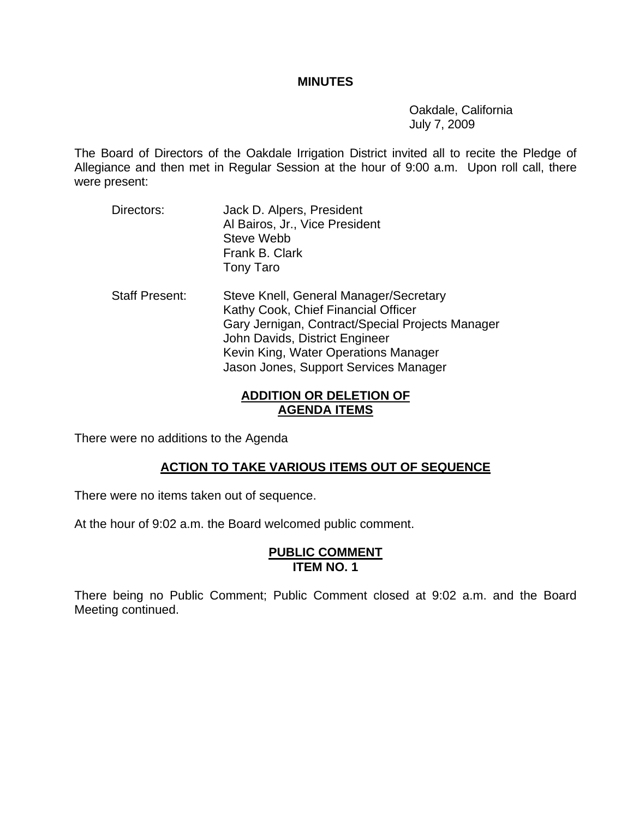#### **MINUTES**

 Oakdale, California July 7, 2009

The Board of Directors of the Oakdale Irrigation District invited all to recite the Pledge of Allegiance and then met in Regular Session at the hour of 9:00 a.m. Upon roll call, there were present:

- Directors: Jack D. Alpers, President Al Bairos, Jr., Vice President Steve Webb Frank B. Clark Tony Taro
- Staff Present: Steve Knell, General Manager/Secretary Kathy Cook, Chief Financial Officer Gary Jernigan, Contract/Special Projects Manager John Davids, District Engineer Kevin King, Water Operations Manager Jason Jones, Support Services Manager

### **ADDITION OR DELETION OF AGENDA ITEMS**

There were no additions to the Agenda

# **ACTION TO TAKE VARIOUS ITEMS OUT OF SEQUENCE**

There were no items taken out of sequence.

At the hour of 9:02 a.m. the Board welcomed public comment.

#### **PUBLIC COMMENT ITEM NO. 1**

There being no Public Comment; Public Comment closed at 9:02 a.m. and the Board Meeting continued.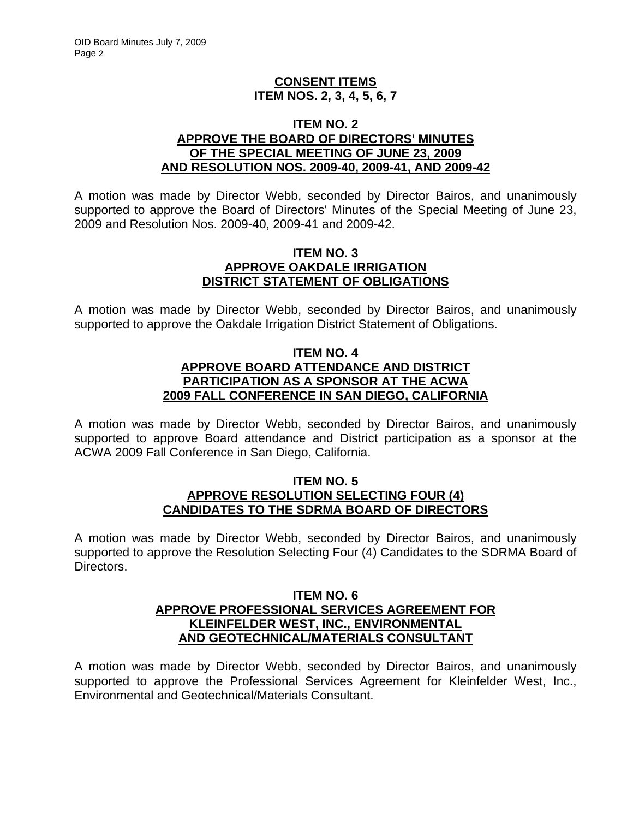### **CONSENT ITEMS ITEM NOS. 2, 3, 4, 5, 6, 7**

#### **ITEM NO. 2 APPROVE THE BOARD OF DIRECTORS' MINUTES OF THE SPECIAL MEETING OF JUNE 23, 2009 AND RESOLUTION NOS. 2009-40, 2009-41, AND 2009-42**

A motion was made by Director Webb, seconded by Director Bairos, and unanimously supported to approve the Board of Directors' Minutes of the Special Meeting of June 23, 2009 and Resolution Nos. 2009-40, 2009-41 and 2009-42.

#### **ITEM NO. 3 APPROVE OAKDALE IRRIGATION DISTRICT STATEMENT OF OBLIGATIONS**

A motion was made by Director Webb, seconded by Director Bairos, and unanimously supported to approve the Oakdale Irrigation District Statement of Obligations.

### **ITEM NO. 4 APPROVE BOARD ATTENDANCE AND DISTRICT PARTICIPATION AS A SPONSOR AT THE ACWA 2009 FALL CONFERENCE IN SAN DIEGO, CALIFORNIA**

A motion was made by Director Webb, seconded by Director Bairos, and unanimously supported to approve Board attendance and District participation as a sponsor at the ACWA 2009 Fall Conference in San Diego, California.

#### **ITEM NO. 5 APPROVE RESOLUTION SELECTING FOUR (4) CANDIDATES TO THE SDRMA BOARD OF DIRECTORS**

A motion was made by Director Webb, seconded by Director Bairos, and unanimously supported to approve the Resolution Selecting Four (4) Candidates to the SDRMA Board of Directors.

### **ITEM NO. 6 APPROVE PROFESSIONAL SERVICES AGREEMENT FOR KLEINFELDER WEST, INC., ENVIRONMENTAL AND GEOTECHNICAL/MATERIALS CONSULTANT**

A motion was made by Director Webb, seconded by Director Bairos, and unanimously supported to approve the Professional Services Agreement for Kleinfelder West, Inc., Environmental and Geotechnical/Materials Consultant.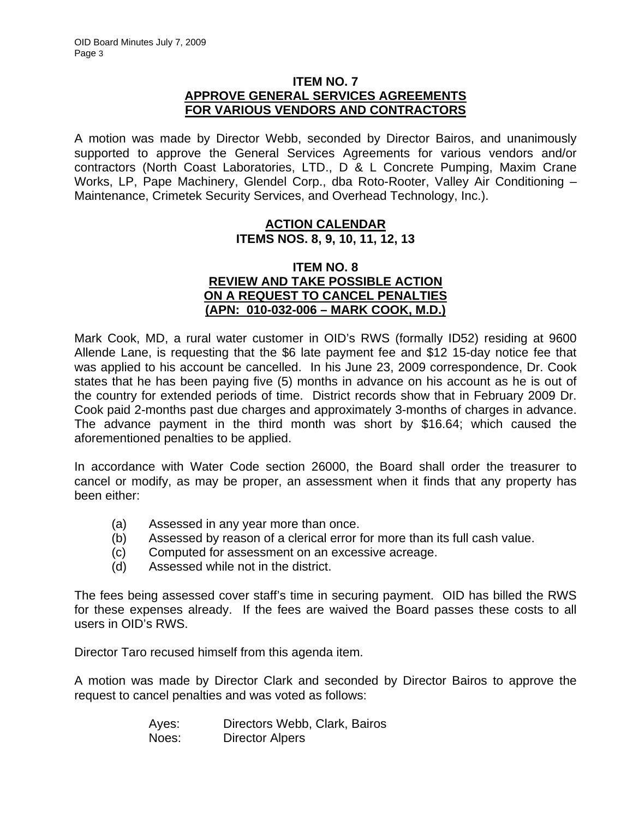### **ITEM NO. 7 APPROVE GENERAL SERVICES AGREEMENTS FOR VARIOUS VENDORS AND CONTRACTORS**

A motion was made by Director Webb, seconded by Director Bairos, and unanimously supported to approve the General Services Agreements for various vendors and/or contractors (North Coast Laboratories, LTD., D & L Concrete Pumping, Maxim Crane Works, LP, Pape Machinery, Glendel Corp., dba Roto-Rooter, Valley Air Conditioning – Maintenance, Crimetek Security Services, and Overhead Technology, Inc.).

### **ACTION CALENDAR ITEMS NOS. 8, 9, 10, 11, 12, 13**

### **ITEM NO. 8 REVIEW AND TAKE POSSIBLE ACTION ON A REQUEST TO CANCEL PENALTIES (APN: 010-032-006 – MARK COOK, M.D.)**

Mark Cook, MD, a rural water customer in OID's RWS (formally ID52) residing at 9600 Allende Lane, is requesting that the \$6 late payment fee and \$12 15-day notice fee that was applied to his account be cancelled. In his June 23, 2009 correspondence, Dr. Cook states that he has been paying five (5) months in advance on his account as he is out of the country for extended periods of time. District records show that in February 2009 Dr. Cook paid 2-months past due charges and approximately 3-months of charges in advance. The advance payment in the third month was short by \$16.64; which caused the aforementioned penalties to be applied.

In accordance with Water Code section 26000, the Board shall order the treasurer to cancel or modify, as may be proper, an assessment when it finds that any property has been either:

- (a) Assessed in any year more than once.
- (b) Assessed by reason of a clerical error for more than its full cash value.
- (c) Computed for assessment on an excessive acreage.
- (d) Assessed while not in the district.

The fees being assessed cover staff's time in securing payment. OID has billed the RWS for these expenses already. If the fees are waived the Board passes these costs to all users in OID's RWS.

Director Taro recused himself from this agenda item.

A motion was made by Director Clark and seconded by Director Bairos to approve the request to cancel penalties and was voted as follows:

| Ayes: | Directors Webb, Clark, Bairos |
|-------|-------------------------------|
| Noes: | Director Alpers               |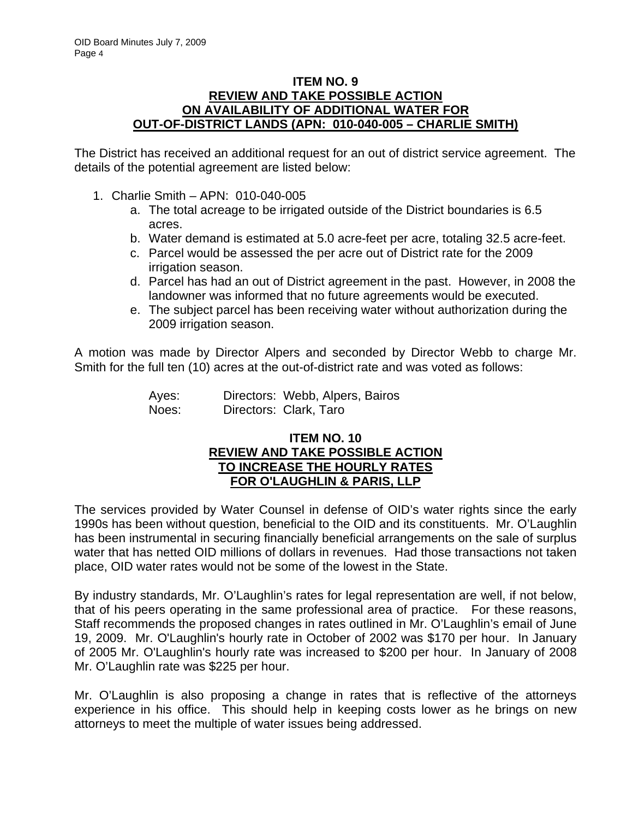### **ITEM NO. 9 REVIEW AND TAKE POSSIBLE ACTION ON AVAILABILITY OF ADDITIONAL WATER FOR OUT-OF-DISTRICT LANDS (APN: 010-040-005 – CHARLIE SMITH)**

The District has received an additional request for an out of district service agreement. The details of the potential agreement are listed below:

- 1. Charlie Smith APN: 010-040-005
	- a. The total acreage to be irrigated outside of the District boundaries is 6.5 acres.
	- b. Water demand is estimated at 5.0 acre-feet per acre, totaling 32.5 acre-feet.
	- c. Parcel would be assessed the per acre out of District rate for the 2009 irrigation season.
	- d. Parcel has had an out of District agreement in the past. However, in 2008 the landowner was informed that no future agreements would be executed.
	- e. The subject parcel has been receiving water without authorization during the 2009 irrigation season.

A motion was made by Director Alpers and seconded by Director Webb to charge Mr. Smith for the full ten (10) acres at the out-of-district rate and was voted as follows:

| Ayes: | Directors: Webb, Alpers, Bairos |
|-------|---------------------------------|
| Noes: | Directors: Clark, Taro          |

### **ITEM NO. 10 REVIEW AND TAKE POSSIBLE ACTION TO INCREASE THE HOURLY RATES FOR O'LAUGHLIN & PARIS, LLP**

The services provided by Water Counsel in defense of OID's water rights since the early 1990s has been without question, beneficial to the OID and its constituents. Mr. O'Laughlin has been instrumental in securing financially beneficial arrangements on the sale of surplus water that has netted OID millions of dollars in revenues. Had those transactions not taken place, OID water rates would not be some of the lowest in the State.

By industry standards, Mr. O'Laughlin's rates for legal representation are well, if not below, that of his peers operating in the same professional area of practice. For these reasons, Staff recommends the proposed changes in rates outlined in Mr. O'Laughlin's email of June 19, 2009. Mr. O'Laughlin's hourly rate in October of 2002 was \$170 per hour. In January of 2005 Mr. O'Laughlin's hourly rate was increased to \$200 per hour. In January of 2008 Mr. O'Laughlin rate was \$225 per hour.

Mr. O'Laughlin is also proposing a change in rates that is reflective of the attorneys experience in his office. This should help in keeping costs lower as he brings on new attorneys to meet the multiple of water issues being addressed.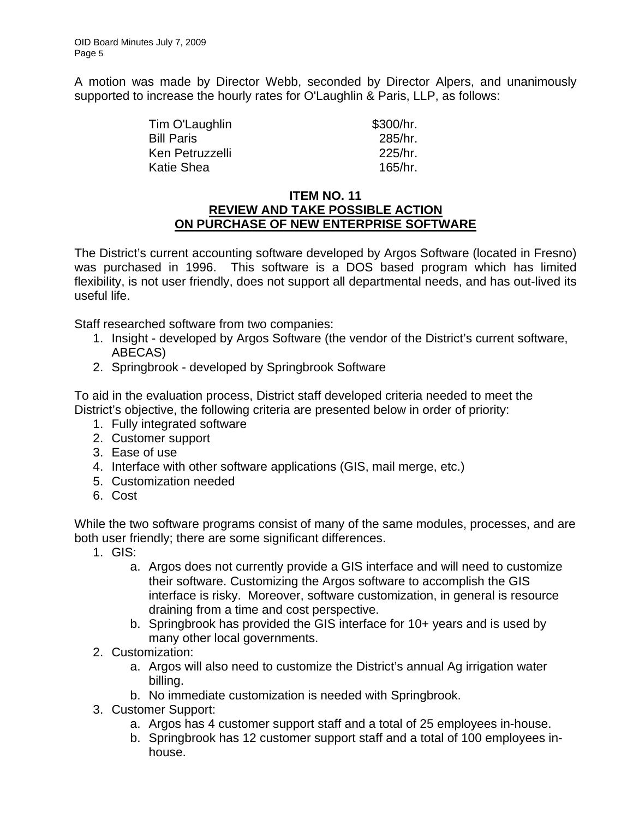A motion was made by Director Webb, seconded by Director Alpers, and unanimously supported to increase the hourly rates for O'Laughlin & Paris, LLP, as follows:

> Tim O'Laughlin \$300/hr. Bill Paris 285/hr. Ken Petruzzelli 225/hr. Katie Shea 165/hr.

### **ITEM NO. 11 REVIEW AND TAKE POSSIBLE ACTION ON PURCHASE OF NEW ENTERPRISE SOFTWARE**

The District's current accounting software developed by Argos Software (located in Fresno) was purchased in 1996. This software is a DOS based program which has limited flexibility, is not user friendly, does not support all departmental needs, and has out-lived its useful life.

Staff researched software from two companies:

- 1. Insight developed by Argos Software (the vendor of the District's current software, ABECAS)
- 2. Springbrook developed by Springbrook Software

To aid in the evaluation process, District staff developed criteria needed to meet the District's objective, the following criteria are presented below in order of priority:

- 1. Fully integrated software
- 2. Customer support
- 3. Ease of use
- 4. Interface with other software applications (GIS, mail merge, etc.)
- 5. Customization needed
- 6. Cost

While the two software programs consist of many of the same modules, processes, and are both user friendly; there are some significant differences.

- 1. GIS:
	- a. Argos does not currently provide a GIS interface and will need to customize their software. Customizing the Argos software to accomplish the GIS interface is risky. Moreover, software customization, in general is resource draining from a time and cost perspective.
	- b. Springbrook has provided the GIS interface for 10+ years and is used by many other local governments.
- 2. Customization:
	- a. Argos will also need to customize the District's annual Ag irrigation water billing.
	- b. No immediate customization is needed with Springbrook.
- 3. Customer Support:
	- a. Argos has 4 customer support staff and a total of 25 employees in-house.
	- b. Springbrook has 12 customer support staff and a total of 100 employees inhouse.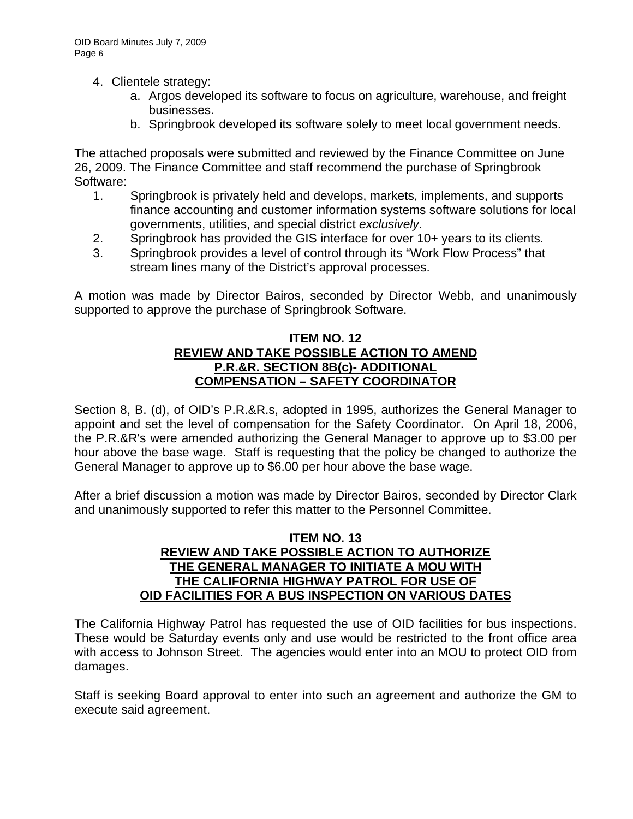- 4. Clientele strategy:
	- a. Argos developed its software to focus on agriculture, warehouse, and freight businesses.
	- b. Springbrook developed its software solely to meet local government needs.

The attached proposals were submitted and reviewed by the Finance Committee on June 26, 2009. The Finance Committee and staff recommend the purchase of Springbrook Software:

- 1. Springbrook is privately held and develops, markets, implements, and supports finance accounting and customer information systems software solutions for local governments, utilities, and special district *exclusively*.
- 2. Springbrook has provided the GIS interface for over 10+ years to its clients.
- 3. Springbrook provides a level of control through its "Work Flow Process" that stream lines many of the District's approval processes.

A motion was made by Director Bairos, seconded by Director Webb, and unanimously supported to approve the purchase of Springbrook Software.

#### **ITEM NO. 12 REVIEW AND TAKE POSSIBLE ACTION TO AMEND P.R.&R. SECTION 8B(c)- ADDITIONAL COMPENSATION – SAFETY COORDINATOR**

Section 8, B. (d), of OID's P.R.&R.s, adopted in 1995, authorizes the General Manager to appoint and set the level of compensation for the Safety Coordinator. On April 18, 2006, the P.R.&R's were amended authorizing the General Manager to approve up to \$3.00 per hour above the base wage. Staff is requesting that the policy be changed to authorize the General Manager to approve up to \$6.00 per hour above the base wage.

After a brief discussion a motion was made by Director Bairos, seconded by Director Clark and unanimously supported to refer this matter to the Personnel Committee.

#### **ITEM NO. 13 REVIEW AND TAKE POSSIBLE ACTION TO AUTHORIZE THE GENERAL MANAGER TO INITIATE A MOU WITH THE CALIFORNIA HIGHWAY PATROL FOR USE OF OID FACILITIES FOR A BUS INSPECTION ON VARIOUS DATES**

The California Highway Patrol has requested the use of OID facilities for bus inspections. These would be Saturday events only and use would be restricted to the front office area with access to Johnson Street. The agencies would enter into an MOU to protect OID from damages.

Staff is seeking Board approval to enter into such an agreement and authorize the GM to execute said agreement.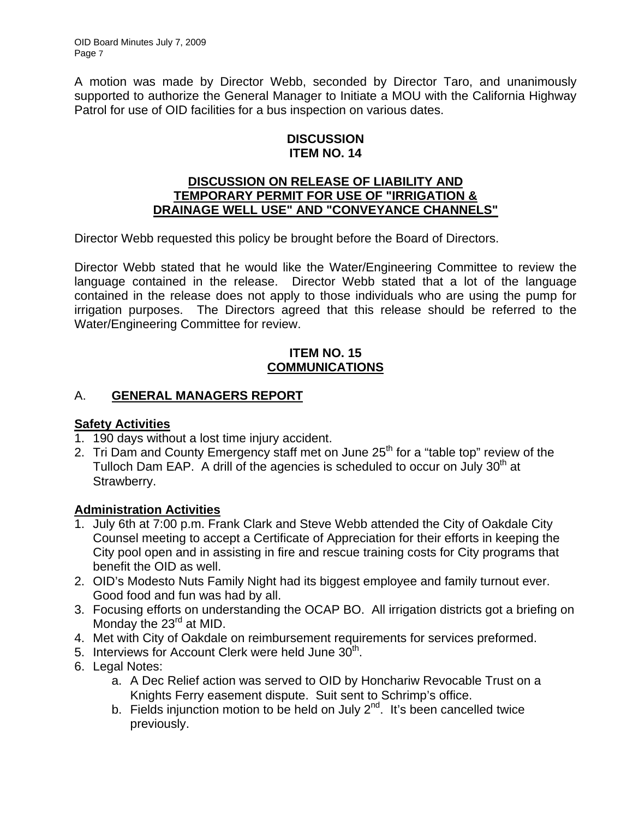A motion was made by Director Webb, seconded by Director Taro, and unanimously supported to authorize the General Manager to Initiate a MOU with the California Highway Patrol for use of OID facilities for a bus inspection on various dates.

## **DISCUSSION ITEM NO. 14**

### **DISCUSSION ON RELEASE OF LIABILITY AND TEMPORARY PERMIT FOR USE OF "IRRIGATION & DRAINAGE WELL USE" AND "CONVEYANCE CHANNELS"**

Director Webb requested this policy be brought before the Board of Directors.

Director Webb stated that he would like the Water/Engineering Committee to review the language contained in the release. Director Webb stated that a lot of the language contained in the release does not apply to those individuals who are using the pump for irrigation purposes. The Directors agreed that this release should be referred to the Water/Engineering Committee for review.

# **ITEM NO. 15 COMMUNICATIONS**

# A. **GENERAL MANAGERS REPORT**

# **Safety Activities**

- 1. 190 days without a lost time injury accident.
- 2. Tri Dam and County Emergency staff met on June 25<sup>th</sup> for a "table top" review of the Tulloch Dam EAP. A drill of the agencies is scheduled to occur on July  $30<sup>th</sup>$  at Strawberry.

# **Administration Activities**

- 1. July 6th at 7:00 p.m. Frank Clark and Steve Webb attended the City of Oakdale City Counsel meeting to accept a Certificate of Appreciation for their efforts in keeping the City pool open and in assisting in fire and rescue training costs for City programs that benefit the OID as well.
- 2. OID's Modesto Nuts Family Night had its biggest employee and family turnout ever. Good food and fun was had by all.
- 3. Focusing efforts on understanding the OCAP BO. All irrigation districts got a briefing on Monday the  $23<sup>rd</sup>$  at MID.
- 4. Met with City of Oakdale on reimbursement requirements for services preformed.
- 5. Interviews for Account Clerk were held June 30<sup>th</sup>.
- 6. Legal Notes:
	- a. A Dec Relief action was served to OID by Honchariw Revocable Trust on a Knights Ferry easement dispute. Suit sent to Schrimp's office.
	- b. Fields injunction motion to be held on July  $2^{nd}$ . It's been cancelled twice previously.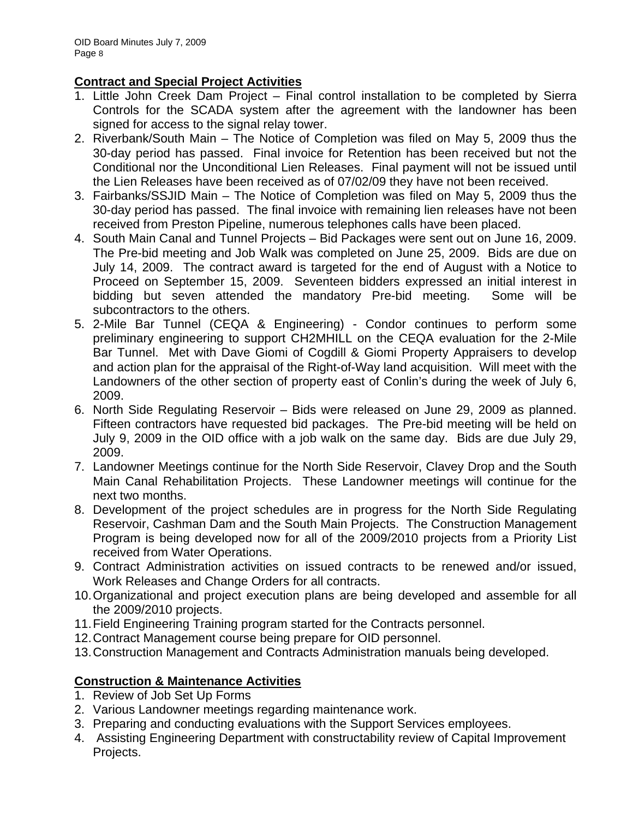# **Contract and Special Project Activities**

- 1. Little John Creek Dam Project Final control installation to be completed by Sierra Controls for the SCADA system after the agreement with the landowner has been signed for access to the signal relay tower.
- 2. Riverbank/South Main The Notice of Completion was filed on May 5, 2009 thus the 30-day period has passed. Final invoice for Retention has been received but not the Conditional nor the Unconditional Lien Releases. Final payment will not be issued until the Lien Releases have been received as of 07/02/09 they have not been received.
- 3. Fairbanks/SSJID Main The Notice of Completion was filed on May 5, 2009 thus the 30-day period has passed. The final invoice with remaining lien releases have not been received from Preston Pipeline, numerous telephones calls have been placed.
- 4. South Main Canal and Tunnel Projects Bid Packages were sent out on June 16, 2009. The Pre-bid meeting and Job Walk was completed on June 25, 2009. Bids are due on July 14, 2009. The contract award is targeted for the end of August with a Notice to Proceed on September 15, 2009. Seventeen bidders expressed an initial interest in bidding but seven attended the mandatory Pre-bid meeting. Some will be subcontractors to the others.
- 5. 2-Mile Bar Tunnel (CEQA & Engineering) Condor continues to perform some preliminary engineering to support CH2MHILL on the CEQA evaluation for the 2-Mile Bar Tunnel. Met with Dave Giomi of Cogdill & Giomi Property Appraisers to develop and action plan for the appraisal of the Right-of-Way land acquisition. Will meet with the Landowners of the other section of property east of Conlin's during the week of July 6, 2009.
- 6. North Side Regulating Reservoir Bids were released on June 29, 2009 as planned. Fifteen contractors have requested bid packages. The Pre-bid meeting will be held on July 9, 2009 in the OID office with a job walk on the same day. Bids are due July 29, 2009.
- 7. Landowner Meetings continue for the North Side Reservoir, Clavey Drop and the South Main Canal Rehabilitation Projects. These Landowner meetings will continue for the next two months.
- 8. Development of the project schedules are in progress for the North Side Regulating Reservoir, Cashman Dam and the South Main Projects. The Construction Management Program is being developed now for all of the 2009/2010 projects from a Priority List received from Water Operations.
- 9. Contract Administration activities on issued contracts to be renewed and/or issued, Work Releases and Change Orders for all contracts.
- 10. Organizational and project execution plans are being developed and assemble for all the 2009/2010 projects.
- 11. Field Engineering Training program started for the Contracts personnel.
- 12. Contract Management course being prepare for OID personnel.
- 13. Construction Management and Contracts Administration manuals being developed.

# **Construction & Maintenance Activities**

- 1. Review of Job Set Up Forms
- 2. Various Landowner meetings regarding maintenance work.
- 3. Preparing and conducting evaluations with the Support Services employees.
- 4. Assisting Engineering Department with constructability review of Capital Improvement Projects.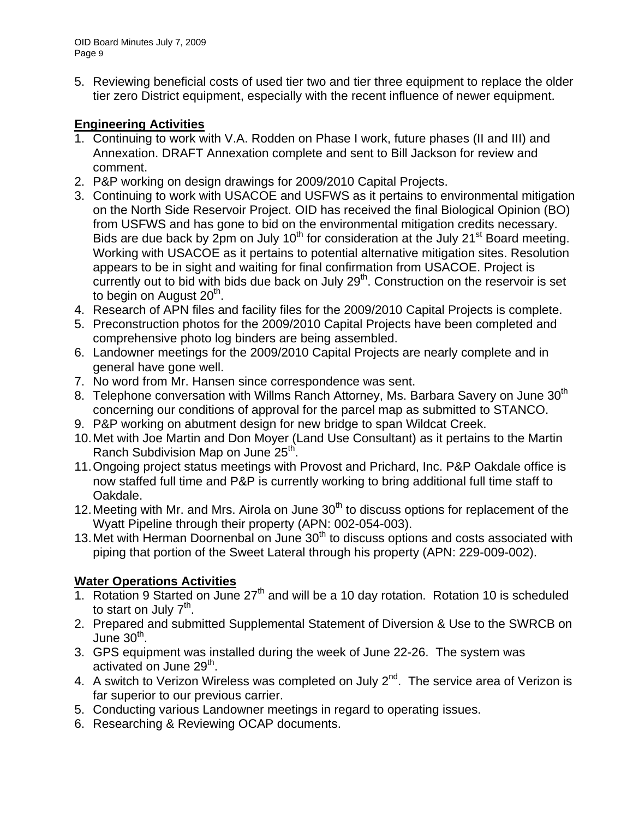5. Reviewing beneficial costs of used tier two and tier three equipment to replace the older tier zero District equipment, especially with the recent influence of newer equipment.

# **Engineering Activities**

- 1. Continuing to work with V.A. Rodden on Phase I work, future phases (II and III) and Annexation. DRAFT Annexation complete and sent to Bill Jackson for review and comment.
- 2. P&P working on design drawings for 2009/2010 Capital Projects.
- 3. Continuing to work with USACOE and USFWS as it pertains to environmental mitigation on the North Side Reservoir Project. OID has received the final Biological Opinion (BO) from USFWS and has gone to bid on the environmental mitigation credits necessary. Bids are due back by 2pm on July 10<sup>th</sup> for consideration at the July 21<sup>st</sup> Board meeting. Working with USACOE as it pertains to potential alternative mitigation sites. Resolution appears to be in sight and waiting for final confirmation from USACOE. Project is currently out to bid with bids due back on July  $29<sup>th</sup>$ . Construction on the reservoir is set to begin on August  $20<sup>th</sup>$ .
- 4. Research of APN files and facility files for the 2009/2010 Capital Projects is complete.
- 5. Preconstruction photos for the 2009/2010 Capital Projects have been completed and comprehensive photo log binders are being assembled.
- 6. Landowner meetings for the 2009/2010 Capital Projects are nearly complete and in general have gone well.
- 7. No word from Mr. Hansen since correspondence was sent.
- 8. Telephone conversation with Willms Ranch Attorney, Ms. Barbara Savery on June 30<sup>th</sup> concerning our conditions of approval for the parcel map as submitted to STANCO.
- 9. P&P working on abutment design for new bridge to span Wildcat Creek.
- 10. Met with Joe Martin and Don Moyer (Land Use Consultant) as it pertains to the Martin Ranch Subdivision Map on June 25<sup>th</sup>.
- 11. Ongoing project status meetings with Provost and Prichard, Inc. P&P Oakdale office is now staffed full time and P&P is currently working to bring additional full time staff to Oakdale.
- 12. Meeting with Mr. and Mrs. Airola on June  $30<sup>th</sup>$  to discuss options for replacement of the Wyatt Pipeline through their property (APN: 002-054-003).
- 13. Met with Herman Doornenbal on June 30<sup>th</sup> to discuss options and costs associated with piping that portion of the Sweet Lateral through his property (APN: 229-009-002).

# **Water Operations Activities**

- 1. Rotation 9 Started on June 27<sup>th</sup> and will be a 10 day rotation. Rotation 10 is scheduled to start on July  $7<sup>th</sup>$ .
- 2. Prepared and submitted Supplemental Statement of Diversion & Use to the SWRCB on June 30<sup>th</sup>.
- 3. GPS equipment was installed during the week of June 22-26. The system was activated on June 29<sup>th</sup>.
- 4. A switch to Verizon Wireless was completed on July  $2^{nd}$ . The service area of Verizon is far superior to our previous carrier.
- 5. Conducting various Landowner meetings in regard to operating issues.
- 6. Researching & Reviewing OCAP documents.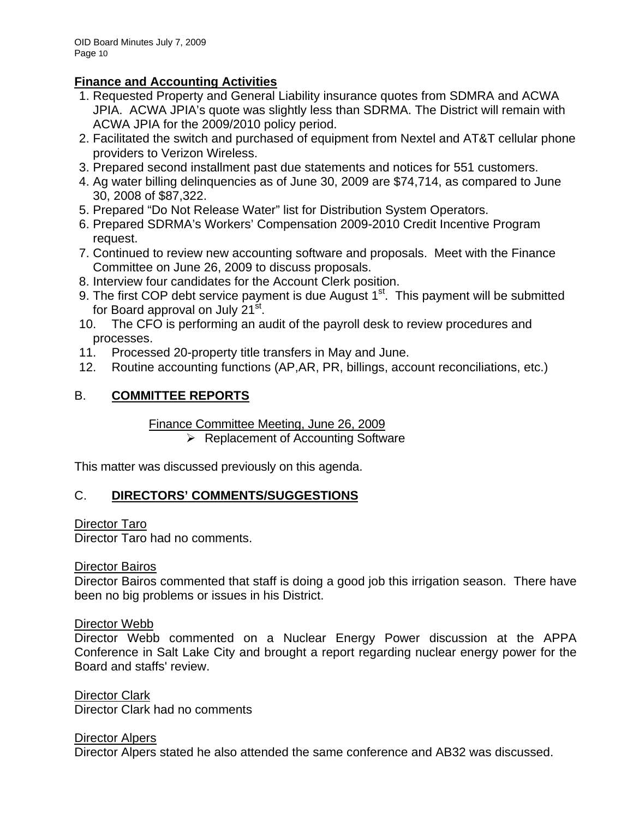# **Finance and Accounting Activities**

- 1. Requested Property and General Liability insurance quotes from SDMRA and ACWA JPIA. ACWA JPIA's quote was slightly less than SDRMA. The District will remain with ACWA JPIA for the 2009/2010 policy period.
- 2. Facilitated the switch and purchased of equipment from Nextel and AT&T cellular phone providers to Verizon Wireless.
- 3. Prepared second installment past due statements and notices for 551 customers.
- 4. Ag water billing delinquencies as of June 30, 2009 are \$74,714, as compared to June 30, 2008 of \$87,322.
- 5. Prepared "Do Not Release Water" list for Distribution System Operators.
- 6. Prepared SDRMA's Workers' Compensation 2009-2010 Credit Incentive Program request.
- 7. Continued to review new accounting software and proposals. Meet with the Finance Committee on June 26, 2009 to discuss proposals.
- 8. Interview four candidates for the Account Clerk position.
- 9. The first COP debt service payment is due August  $1<sup>st</sup>$ . This payment will be submitted for Board approval on July 21<sup>st</sup>.
- 10. The CFO is performing an audit of the payroll desk to review procedures and processes.
- 11. Processed 20-property title transfers in May and June.
- 12. Routine accounting functions (AP,AR, PR, billings, account reconciliations, etc.)

# B. **COMMITTEE REPORTS**

Finance Committee Meeting, June 26, 2009

 $\triangleright$  Replacement of Accounting Software

This matter was discussed previously on this agenda.

# C. **DIRECTORS' COMMENTS/SUGGESTIONS**

# Director Taro

Director Taro had no comments.

# Director Bairos

Director Bairos commented that staff is doing a good job this irrigation season. There have been no big problems or issues in his District.

# Director Webb

Director Webb commented on a Nuclear Energy Power discussion at the APPA Conference in Salt Lake City and brought a report regarding nuclear energy power for the Board and staffs' review.

Director Clark Director Clark had no comments

Director Alpers Director Alpers stated he also attended the same conference and AB32 was discussed.